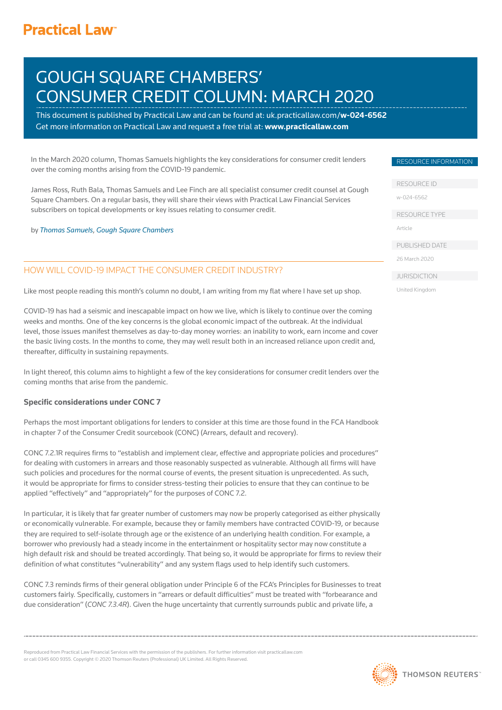## **Practical Law<sup>®</sup>**

# GOUGH SQUARE CHAMBERS' CONSUMER CREDIT COLUMN: MARCH 2020

This document is published by Practical Law and can be foun[d at: uk.practicallaw.com/](uk.practicallaw.com/w-024-6562)w-024-6562 Get more information on Practical Law and request a free trial at: www.practicallaw.com

In the March 2020 column, Thomas Samuels highlights the key considerations for consumer credit lenders over the coming months arising from the COVID-19 pandemic.

James Ross, Ruth Bala, Thomas Samuels and Lee Finch are all specialist consumer credit counsel at Gough Square Chambers. On a regular basis, they will share their views with Practical Law Financial Services subscribers on topical developments or key issues relating to consumer credit.

by [Thomas Samuels](https://goughsq.co.uk/barrister/thomas-samuels/), [Gough Square Chambers](https://goughsq.co.uk/)

## HOW WILL COVID-19 IMPACT THE CONSUMER CREDIT INDUSTRY?

Like most people reading this month's column no doubt, I am writing from my flat where I have set up shop.

COVID-19 has had a seismic and inescapable impact on how we live, which is likely to continue over the coming weeks and months. One of the key concerns is the global economic impact of the outbreak. At the individual level, those issues manifest themselves as day-to-day money worries: an inability to work, earn income and cover the basic living costs. In the months to come, they may well result both in an increased reliance upon credit and, thereafter, difficulty in sustaining repayments.

In light thereof, this column aims to highlight a few of the key considerations for consumer credit lenders over the coming months that arise from the pandemic.

#### **Specific considerations under CONC 7**

Perhaps the most important obligations for lenders to consider at this time are those found in the FCA Handbook in chapter 7 of the Consumer Credit sourcebook (CONC) (Arrears, default and recovery).

CONC 7.2.1R requires firms to "establish and implement clear, effective and appropriate policies and procedures" for dealing with customers in arrears and those reasonably suspected as vulnerable. Although all firms will have such policies and procedures for the normal course of events, the present situation is unprecedented. As such, it would be appropriate for firms to consider stress-testing their policies to ensure that they can continue to be applied "effectively" and "appropriately" for the purposes of CONC 7.2.

In particular, it is likely that far greater number of customers may now be properly categorised as either physically or economically vulnerable. For example, because they or family members have contracted COVID-19, or because they are required to self-isolate through age or the existence of an underlying health condition. For example, a borrower who previously had a steady income in the entertainment or hospitality sector may now constitute a high default risk and should be treated accordingly. That being so, it would be appropriate for firms to review their definition of what constitutes "vulnerability" and any system flags used to help identify such customers.

CONC 7.3 reminds firms of their general obligation under Principle 6 of the FCA's Principles for Businesses to treat customers fairly. Specifically, customers in "arrears or default difficulties" must be treated with "forbearance and due consideration" (CONC 7.3.4R). Given the huge uncertainty that currently surrounds public and private life, a

Reproduced from Practical Law Financial Services with the permission of the publishers. For further information visit practicallaw.com or call 0345 600 9355. Copyright © 2020 Thomson Reuters (Professional) UK Limited. All Rights Reserved.

#### RESOURCE INFORMATION

RESOURCE ID

[w-024-6562](uk.practicallaw.com/w-024-6562) 

RESOURCE TYPE

Article

PUBLISHED DATE

26 March 2020

JURISDICTION

United Kingdom

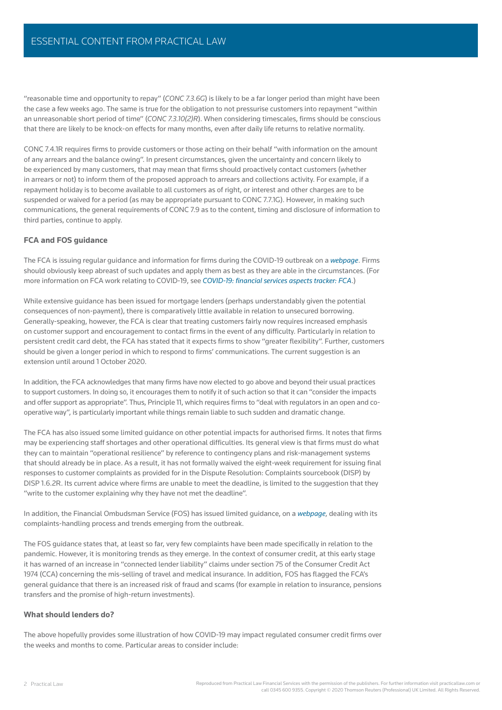"reasonable time and opportunity to repay" (CONC 7.3.6G) is likely to be a far longer period than might have been the case a few weeks ago. The same is true for the obligation to not pressurise customers into repayment "within an unreasonable short period of time" (CONC 7.3.10(2)R). When considering timescales, firms should be conscious that there are likely to be knock-on effects for many months, even after daily life returns to relative normality.

CONC 7.4.1R requires firms to provide customers or those acting on their behalf "with information on the amount of any arrears and the balance owing". In present circumstances, given the uncertainty and concern likely to be experienced by many customers, that may mean that firms should proactively contact customers (whether in arrears or not) to inform them of the proposed approach to arrears and collections activity. For example, if a repayment holiday is to become available to all customers as of right, or interest and other charges are to be suspended or waived for a period (as may be appropriate pursuant to CONC 7.7.1G). However, in making such communications, the general requirements of CONC 7.9 as to the content, timing and disclosure of information to third parties, continue to apply.

#### FCA and FOS guidance

The FCA is issuing regular guidance and information for firms during the COVID-19 outbreak on a [webpage](https://www.fca.org.uk/firms/information-firms-coronavirus-covid-19-response). Firms should obviously keep abreast of such updates and apply them as best as they are able in the circumstances. (For more information on FCA work relating to COVID-19, see COVID-19: financial services aspects tracker: FCA.)

While extensive guidance has been issued for mortgage lenders (perhaps understandably given the potential consequences of non-payment), there is comparatively little available in relation to unsecured borrowing. Generally-speaking, however, the FCA is clear that treating customers fairly now requires increased emphasis on customer support and encouragement to contact firms in the event of any difficulty. Particularly in relation to persistent credit card debt, the FCA has stated that it expects firms to show "greater flexibility". Further, customers should be given a longer period in which to respond to firms' communications. The current suggestion is an extension until around 1 October 2020.

In addition, the FCA acknowledges that many firms have now elected to go above and beyond their usual practices to support customers. In doing so, it encourages them to notify it of such action so that it can "consider the impacts and offer support as appropriate". Thus, Principle 11, which requires firms to "deal with requlators in an open and cooperative way", is particularly important while things remain liable to such sudden and dramatic change.

The FCA has also issued some limited guidance on other potential impacts for authorised firms. It notes that firms may be experiencing staff shortages and other operational difficulties. Its general view is that firms must do what they can to maintain "operational resilience" by reference to contingency plans and risk-management systems that should already be in place. As a result, it has not formally waived the eight-week requirement for issuing final responses to customer complaints as provided for in the Dispute Resolution: Complaints sourcebook (DISP) by DISP 1.6.2R. Its current advice where firms are unable to meet the deadline, is limited to the suggestion that they "write to the customer explaining why they have not met the deadline".

In addition, the Financial Ombudsman Service (FOS) has issued limited guidance, on a [webpage](https://www.financial-ombudsman.org.uk/coronavirus), dealing with its complaints-handling process and trends emerging from the outbreak.

The FOS guidance states that, at least so far, very few complaints have been made specifically in relation to the pandemic. However, it is monitoring trends as they emerge. In the context of consumer credit, at this early stage it has warned of an increase in "connected lender liability" claims under section 75 of the Consumer Credit Act 1974 (CCA) concerning the mis-selling of travel and medical insurance. In addition, FOS has flagged the FCA's general guidance that there is an increased risk of fraud and scams (for example in relation to insurance, pensions transfers and the promise of high-return investments).

#### What should lenders do?

The above hopefully provides some illustration of how COVID-19 may impact regulated consumer credit firms over the weeks and months to come. Particular areas to consider include: